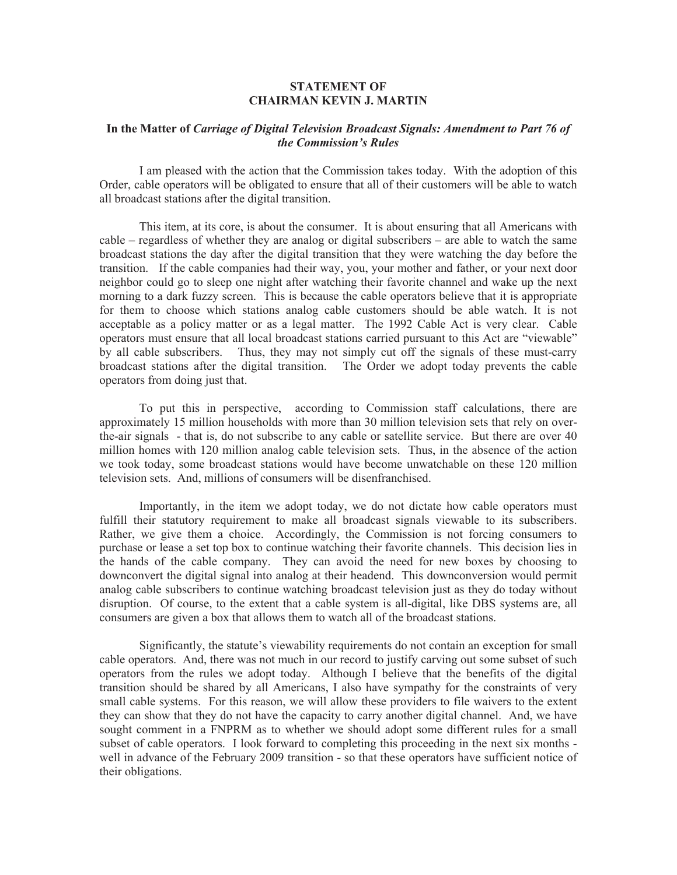## **STATEMENT OF CHAIRMAN KEVIN J. MARTIN**

## **In the Matter of** *Carriage of Digital Television Broadcast Signals: Amendment to Part 76 of the Commission's Rules*

I am pleased with the action that the Commission takes today. With the adoption of this Order, cable operators will be obligated to ensure that all of their customers will be able to watch all broadcast stations after the digital transition.

This item, at its core, is about the consumer. It is about ensuring that all Americans with cable – regardless of whether they are analog or digital subscribers – are able to watch the same broadcast stations the day after the digital transition that they were watching the day before the transition. If the cable companies had their way, you, your mother and father, or your next door neighbor could go to sleep one night after watching their favorite channel and wake up the next morning to a dark fuzzy screen. This is because the cable operators believe that it is appropriate for them to choose which stations analog cable customers should be able watch. It is not acceptable as a policy matter or as a legal matter. The 1992 Cable Act is very clear. Cable operators must ensure that all local broadcast stations carried pursuant to this Act are "viewable" by all cable subscribers. Thus, they may not simply cut off the signals of these must-carry broadcast stations after the digital transition. The Order we adopt today prevents the cable operators from doing just that.

To put this in perspective, according to Commission staff calculations, there are approximately 15 million households with more than 30 million television sets that rely on overthe-air signals - that is, do not subscribe to any cable or satellite service. But there are over 40 million homes with 120 million analog cable television sets. Thus, in the absence of the action we took today, some broadcast stations would have become unwatchable on these 120 million television sets. And, millions of consumers will be disenfranchised.

Importantly, in the item we adopt today, we do not dictate how cable operators must fulfill their statutory requirement to make all broadcast signals viewable to its subscribers. Rather, we give them a choice. Accordingly, the Commission is not forcing consumers to purchase or lease a set top box to continue watching their favorite channels. This decision lies in the hands of the cable company. They can avoid the need for new boxes by choosing to downconvert the digital signal into analog at their headend. This downconversion would permit analog cable subscribers to continue watching broadcast television just as they do today without disruption. Of course, to the extent that a cable system is all-digital, like DBS systems are, all consumers are given a box that allows them to watch all of the broadcast stations.

Significantly, the statute's viewability requirements do not contain an exception for small cable operators. And, there was not much in our record to justify carving out some subset of such operators from the rules we adopt today. Although I believe that the benefits of the digital transition should be shared by all Americans, I also have sympathy for the constraints of very small cable systems. For this reason, we will allow these providers to file waivers to the extent they can show that they do not have the capacity to carry another digital channel. And, we have sought comment in a FNPRM as to whether we should adopt some different rules for a small subset of cable operators. I look forward to completing this proceeding in the next six months well in advance of the February 2009 transition - so that these operators have sufficient notice of their obligations.